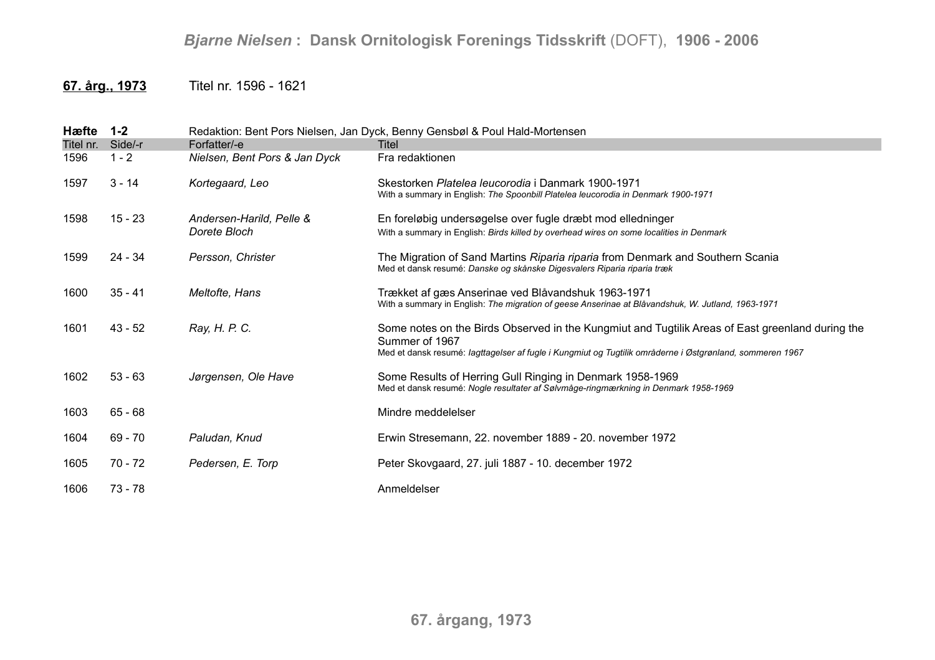## **67. årg., 1973** Titel nr. 1596 - 1621

| Hæfte     | $1 - 2$   |                                          | Redaktion: Bent Pors Nielsen, Jan Dyck, Benny Gensbøl & Poul Hald-Mortensen                                                                                                                                                    |
|-----------|-----------|------------------------------------------|--------------------------------------------------------------------------------------------------------------------------------------------------------------------------------------------------------------------------------|
| Titel nr. | Side/-r   | Forfatter/-e                             | Titel                                                                                                                                                                                                                          |
| 1596      | $1 - 2$   | Nielsen, Bent Pors & Jan Dyck            | Fra redaktionen                                                                                                                                                                                                                |
| 1597      | $3 - 14$  | Kortegaard, Leo                          | Skestorken Platelea leucorodia i Danmark 1900-1971<br>With a summary in English: The Spoonbill Platelea leucorodia in Denmark 1900-1971                                                                                        |
| 1598      | $15 - 23$ | Andersen-Harild, Pelle &<br>Dorete Bloch | En foreløbig undersøgelse over fugle dræbt mod elledninger<br>With a summary in English: Birds killed by overhead wires on some localities in Denmark                                                                          |
| 1599      | $24 - 34$ | Persson, Christer                        | The Migration of Sand Martins Riparia riparia from Denmark and Southern Scania<br>Med et dansk resumé: Danske og skånske Digesvalers Riparia riparia træk                                                                      |
| 1600      | $35 - 41$ | Meltofte, Hans                           | Trækket af gæs Anserinae ved Blåvandshuk 1963-1971<br>With a summary in English: The migration of geese Anserinae at Blåvandshuk, W. Jutland, 1963-1971                                                                        |
| 1601      | $43 - 52$ | Ray, H. P. C.                            | Some notes on the Birds Observed in the Kungmiut and Tugtilik Areas of East greenland during the<br>Summer of 1967<br>Med et dansk resumé: lagttagelser af fugle i Kungmiut og Tugtilik områderne i Østgrønland, sommeren 1967 |
| 1602      | $53 - 63$ | Jørgensen, Ole Have                      | Some Results of Herring Gull Ringing in Denmark 1958-1969<br>Med et dansk resumé: Nogle resultater af Sølvmåge-ringmærkning in Denmark 1958-1969                                                                               |
| 1603      | $65 - 68$ |                                          | Mindre meddelelser                                                                                                                                                                                                             |
| 1604      | $69 - 70$ | Paludan, Knud                            | Erwin Stresemann, 22. november 1889 - 20. november 1972                                                                                                                                                                        |
| 1605      | 70 - 72   | Pedersen, E. Torp                        | Peter Skovgaard, 27. juli 1887 - 10. december 1972                                                                                                                                                                             |
| 1606      | $73 - 78$ |                                          | Anmeldelser                                                                                                                                                                                                                    |